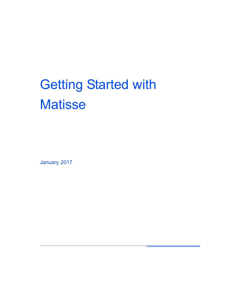# Getting Started with **Matisse**

January 2017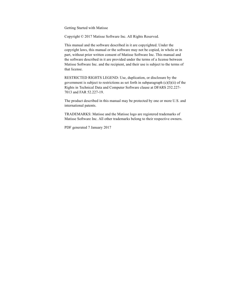Getting Started with Matisse

Copyright © 2017 Matisse Software Inc. All Rights Reserved.

This manual and the software described in it are copyrighted. Under the copyright laws, this manual or the software may not be copied, in whole or in part, without prior written consent of Matisse Software Inc. This manual and the software described in it are provided under the terms of a license between Matisse Software Inc. and the recipient, and their use is subject to the terms of that license.

RESTRICTED RIGHTS LEGEND: Use, duplication, or disclosure by the government is subject to restrictions as set forth in subparagraph (c)(l)(ii) of the Rights in Technical Data and Computer Software clause at DFARS 252.227- 7013 and FAR 52.227-19.

The product described in this manual may be protected by one or more U.S. and international patents.

TRADEMARKS: Matisse and the Matisse logo are registered trademarks of Matisse Software Inc. All other trademarks belong to their respective owners.

PDF generated 7 January 2017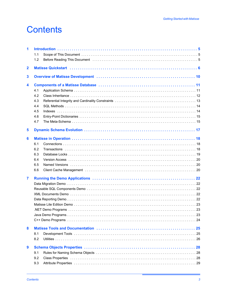## **Contents**

| 1                       | 1.1<br>1.2<br>Before Reading This Document (and according to the control of the control of the set of the set of the set of the set of the set of the set of the set of the set of the set of the set of the set of the set of the set of th |
|-------------------------|----------------------------------------------------------------------------------------------------------------------------------------------------------------------------------------------------------------------------------------------|
| $\overline{\mathbf{2}}$ | Matisse Quickstart (and the contract of the contract of the contract of the contract of the contract of the contract of the contract of the contract of the contract of the contract of the contract of the contract of the co               |
| 3                       | Overview of Matisse Development (and the context of the context of Matissa Development (and the context of the                                                                                                                               |
| 4                       | 4.1<br>4.2<br>4.3<br>4.4<br>4.5<br>4.6<br>4.7                                                                                                                                                                                                |
| 5                       |                                                                                                                                                                                                                                              |
| 6                       | 6.1<br>6.2<br>6.3<br>6.4<br>6.5<br>6.6                                                                                                                                                                                                       |
| 7                       |                                                                                                                                                                                                                                              |
| 8                       | 8.1<br>8.2                                                                                                                                                                                                                                   |
| $\boldsymbol{9}$        | 9.1<br>9.2<br>9.3                                                                                                                                                                                                                            |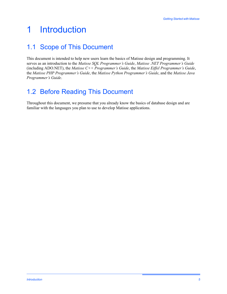## <span id="page-4-0"></span>1 Introduction

### <span id="page-4-1"></span>1.1 Scope of This Document

This document is intended to help new users learn the basics of Matisse design and programming. It serves as an introduction to the *Matisse SQL Programmer's Guide*, *Matisse .NET Programmer's Guide*  (including ADO.NET), the *Matisse C++ Programmer's Guide*, the *Matisse Eiffel Programmer's Guide*, the *Matisse PHP Programmer's Guide*, the *Matisse Python Programmer's Guide*, and the *Matisse Java Programmer's Guide*.

### <span id="page-4-2"></span>1.2 Before Reading This Document

Throughout this document, we presume that you already know the basics of database design and are familiar with the languages you plan to use to develop Matisse applications.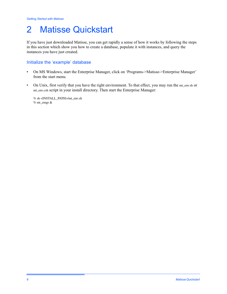## <span id="page-5-0"></span>2 Matisse Quickstart

If you have just downloaded Matisse, you can get rapidly a sense of how it works by following the steps in this section which show you how to create a database, populate it with instances, and query the instances you have just created.

#### Initialize the 'example' database

- On MS Windows, start the Enterprise Manager, click on 'Programs->Matisse->Enterprise Manager' from the start menu.
- On Unix, first verify that you have the right environment. To that effect, you may run the mt\_env.sh or mt\_env.csh script in your install directory. Then start the Enterprise Manager:

% sh <INSTALL\_PATH>/mt\_env.sh % mt\_emgr &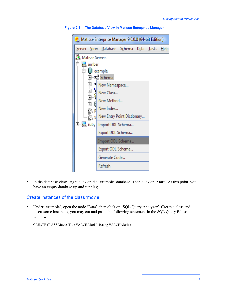|                                                                                                                                 | Matisse Enterprise Manager 9.0.0.0 (64-bit Edition)                                                                                                                                                                                            |  |  |
|---------------------------------------------------------------------------------------------------------------------------------|------------------------------------------------------------------------------------------------------------------------------------------------------------------------------------------------------------------------------------------------|--|--|
|                                                                                                                                 | <u>S</u> erver <u>V</u> iew <u>D</u> atabase S <u>c</u> hema D <u>a</u> ta <u>T</u> asks <u>H</u> elp                                                                                                                                          |  |  |
| <b>D</b> Matisse Servers<br>$\mathbf{Q}$ amber<br>$E-E$ example<br>$\overline{+}$<br>$+$<br>ĭ<br>$\overline{+}$<br>∳<br>Ŧ<br>©Ρ | -ඥ් Schema<br><sup>EN</sup> New Namespace<br>New Class<br>New Method<br>New Index<br>S S New Entry Point Dictionary<br>The ruby   Import DDL Schema<br>Export DDL Schema<br>Import ODL Schema<br>Export ODL Schema<br>Generate Code<br>Refresh |  |  |

**Figure 2.1 The Database View in Matisse Enterprise Manager**

• In the database view, Right click on the 'example' database. Then click on 'Start'. At this point, you have an empty database up and running.

#### Create instances of the class 'movie'

• Under 'example', open the node 'Data', then click on 'SQL Query Analyzer'. Create a class and insert some instances, you may cut and paste the following statement in the SQL Query Editor window:

CREATE CLASS Movie (Title VARCHAR(64), Rating VARCHAR(4));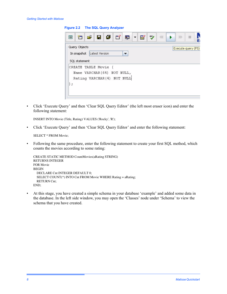**Figure 2.2 The SQL Query Analyzer**

| Query Objects |                    |                |                            |  | Execute query (F5) |  |
|---------------|--------------------|----------------|----------------------------|--|--------------------|--|
| In snapshot   |                    | Latest Version |                            |  |                    |  |
| SQL statement |                    |                |                            |  |                    |  |
|               | CREATE TABLE Movie | - 6            |                            |  |                    |  |
|               |                    |                | Name VARCHAR(64) NOT NULL, |  |                    |  |
|               |                    |                | Rating VARCHAR(4) NOT NULL |  |                    |  |
|               |                    |                |                            |  |                    |  |

• Click 'Execute Query' and then 'Clear SQL Query Editor' (the left most eraser icon) and enter the following statement:

INSERT INTO Movie (Title, Rating) VALUES ('Rocky', 'R');

• Click 'Execute Query' and then 'Clear SQL Query Editor' and enter the following statement:

SELECT \* FROM Movie;

• Following the same procedure, enter the following statement to create your first SQL method, which counts the movies according to some rating:

```
CREATE STATIC METHOD CountMovies(aRating STRING)
RETURNS INTEGER
FOR Movie
BEGIN
 DECLARE Cnt INTEGER DEFAULT 0;
 SELECT COUNT(*) INTO Cnt FROM Movie WHERE Rating = aRating;
 RETURN Cnt;
END;
```
• At this stage, you have created a simple schema in your database 'example' and added some data in the database. In the left side window, you may open the 'Classes' node under 'Schema' to view the schema that you have created.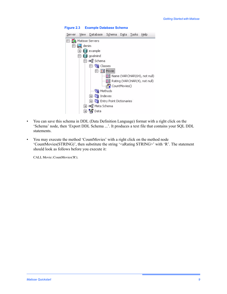

#### **Figure 2.3 Example Database Schema**

- You can save this schema in DDL (Data Definition Language) format with a right click on the 'Schema' node, then 'Export DDL Schema ...'. It produces a text file that contains your SQL DDL statements.
- You may execute the method 'CountMovies' with a right click on the method node 'CountMovies(STRING)', then substitute the string '<aRating STRING>' with 'R'. The statement should look as follows before you execute it:

CALL Movie::CountMovies('R');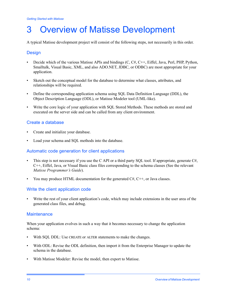## <span id="page-9-0"></span>3 Overview of Matisse Development

A typical Matisse development project will consist of the following steps, not necessarily in this order.

#### **Design**

- Decide which of the various Matisse APIs and bindings (C, C#, C++, Eiffel, Java, Perl, PHP, Python, Smalltalk, Visual Basic, XML, and also ADO.NET, JDBC, or ODBC) are most appropriate for your application.
- Sketch out the conceptual model for the database to determine what classes, attributes, and relationships will be required.
- Define the corresponding application schema using SQL Data Definition Language (DDL), the Object Description Language (ODL), or Matisse Modeler tool (UML-like).
- Write the core logic of your application with SQL Stored Methods. These methods are stored and executed on the server side and can be called from any client environment.

#### Create a database

- Create and initialize your database.
- Load your schema and SQL methods into the database.

#### Automatic code generation for client applications

- This step is not necessary if you use the C API or a third party SQL tool. If appropriate, generate C#, C++, Eiffel, Java, or Visual Basic class files corresponding to the schema classes (See the relevant *Matisse Programmer's Guide*).
- You may produce HTML documentation for the generated  $C#$ ,  $C++$ , or Java classes.

#### Write the client application code

Write the rest of your client application's code, which may include extensions in the user area of the generated class files, and debug.

#### **Maintenance**

When your application evolves in such a way that it becomes necessary to change the application schema:

- With SOL DDL: Use CREATE or ALTER statements to make the changes.
- With ODL: Revise the ODL definition, then import it from the Enterprise Manager to update the schema in the database.
- With Matisse Modeler: Revise the model, then export to Matisse.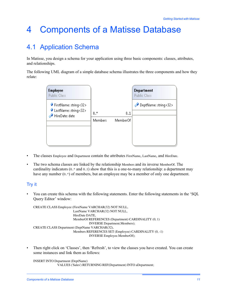## <span id="page-10-0"></span>4 Components of a Matisse Database

### <span id="page-10-1"></span>4.1 Application Schema

In Matisse, you design a schema for your application using three basic components: classes, attributes, and relationships.

The following UML diagram of a simple database schema illustrates the three components and how they relate:



- The classes Employee and Department contain the attributes FirstName, LastName, and HireDate.
- The two schema classes are linked by the relationship Members and its inverse MemberOf. The cardinality indicators (0..\* and 0..1) show that this is a one-to-many relationship: a department may have any number  $(0,*)$  of members, but an employee may be a member of only one department.

#### Try it

• You can create this schema with the following statements. Enter the following statements in the 'SQL Query Editor' window:

CREATE CLASS Employee (FirstName VARCHAR(32) NOT NULL, LastName VARCHAR(32) NOT NULL, HireDate DATE, MemberOf REFERENCES (Department) CARDINALITY (0, 1) INVERSE Department.Members); CREATE CLASS Department (DeptName VARCHAR(32), Members REFERENCES SET (Employee) CARDINALITY (0, -1) INVERSE Employee.MemberOf);

• Then right click on 'Classes', then 'Refresh', to view the classes you have created. You can create some instances and link them as follows:

INSERT INTO Department (DeptName) VALUES ('Sales') RETURNING REF(Department) INTO aDepartment;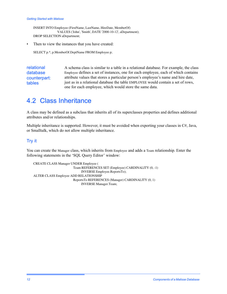INSERT INTO Employee (FirstName, LastName, HireDate, MemberOf) VALUES ('John', 'Smith', DATE '2000-10-12', aDepartment); DROP SELECTION aDepartment;

• Then to view the instances that you have created:

SELECT p.\*, p.MemberOf.DeptName FROM Employee p;

relational database counterpart: tables A schema class is similar to a table in a relational database. For example, the class Employee defines a set of instances, one for each employee, each of which contains attribute values that stores a particular person's employee's name and hire date, just as in a relational database the table EMPLOYEE would contain a set of rows, one for each employee, which would store the same data.

#### <span id="page-11-0"></span>4.2 Class Inheritance

A class may be defined as a subclass that inherits all of its superclasses properties and defines additional attributes and/or relationships.

Multiple inheritance is supported. However, it must be avoided when exporting your classes in C#, Java, or Smalltalk, which do not allow multiple inheritance.

#### Try it

You can create the Manager class, which inherits from Employee and adds a Team relationship. Enter the following statements in the 'SQL Query Editor' window:

CREATE CLASS Manager UNDER Employee ( Team REFERENCES SET (Employee) CARDINALITY (0, -1) INVERSE Employee.ReportsTo); ALTER CLASS Employee ADD RELATIONSHIP ReportsTo REFERENCES (Manager) CARDINALITY (0, 1) INVERSE Manager.Team;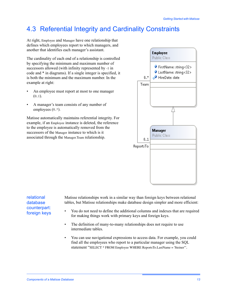### <span id="page-12-0"></span>4.3 Referential Integrity and Cardinality Constraints

At right, Employee and Manager have one relationship that defines which employees report to which managers, and another that identifies each manager's assistant.

The cardinality of each end of a relationship is controlled by specifying the minimum and maximum number of successors allowed (with infinity represented by -1 in code and \* in diagrams). If a single integer is specified, it is both the minimum and the maximum number. In the example at right:

- An employee must report at most to one manager  $(0..1).$
- A manager's team consists of any number of employees (0..\*).

Matisse automatically maintains referential integrity. For example, if an Employee instance is deleted, the reference to the employee is automatically removed from the successors of the Manager instance to which is it associated through the Manager.Team relationship.



#### relational database counterpart: foreign keys

Matisse relationships work in a similar way than foreign keys between relational tables, but Matisse relationships make database design simpler and more efficient:

- You do not need to define the additional columns and indexes that are required for making things work with primary keys and foreign keys.
- The definition of many-to-many relationships does not require to use intermediate tables.
- You can use navigational expressions to access data. For example, you could find all the employees who report to a particular manager using the SQL statement "SELECT \* FROM Employee WHERE ReportsTo.LastName = 'Steiner'".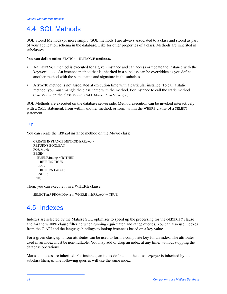### <span id="page-13-0"></span>4.4 SQL Methods

SQL Stored Methods (or more simply 'SQL methods') are always associated to a class and stored as part of your application schema in the database. Like for other properties of a class, Methods are inherited in subclasses.

You can define either STATIC or INSTANCE methods:

- An INSTANCE method is executed for a given instance and can access or update the instance with the keyword SELF. An instance method that is inherited in a subclass can be overridden as you define another method with the same name and signature in the subclass.
- A STATIC method is not associated at execution time with a particular instance. To call a static method, you must mangle the class name with the method. For instance to call the static method CountMovies on the class Movie: 'CALL Movie::CountMovies('R');'.

SQL Methods are executed on the database server side. Method execution can be invoked interactively with a CALL statement, from within another method, or from within the WHERE clause of a SELECT statement.

#### Try it

You can create the isRRated instance method on the Movie class:

```
CREATE INSTANCE METHOD isRRated()
RETURNS BOOLEAN
FOR Movie
BEGIN
 IF SELF.Rating = 'R' THEN
   RETURN TRUE;
 ELSE
   RETURN FALSE;
 END IF;
END;
```
Then, you can execute it in a WHERE clause:

```
SELECT m.* FROM Movie m WHERE m.isRRated() = TRUE;
```
### <span id="page-13-1"></span>4.5 Indexes

Indexes are selected by the Matisse SQL optimizer to speed up the processing for the ORDER BY clause and for the WHERE clause filtering when running equi-match and range queries. You can also use indexes from the C API and the language bindings to lookup instances based on a key value.

For a given class, up to four attributes can be used to form a composite key for an index. The attributes used in an index must be non-nullable. You may add or drop an index at any time, without stopping the database operations.

Matisse indexes are inherited. For instance, an index defined on the class Employee is inherited by the subclass Manager. The following queries will use the same index: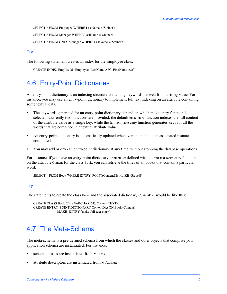SELECT \* FROM Employee WHERE LastName = 'Steiner';

SELECT \* FROM Manager WHERE LastName = 'Steiner';

SELECT \* FROM ONLY Manager WHERE LastName = 'Steiner';

#### Try it

The following statement creates an index for the Employee class:

CREATE INDEX EmpIdx ON Employee (LastName ASC, FirstName ASC);

### <span id="page-14-0"></span>4.6 Entry-Point Dictionaries

An entry-point dictionary is an indexing structure containing keywords derived from a string value. For instance, you may use an entry-point dictionary to implement full text indexing on an attribute containing some textual data.

- The keywords generated for an entry-point dictionary depend on which make-entry function is selected. Currently two functions are provided: the default make-entry function indexes the full content of the attribute value as a single key, while the full-text-make-entry function generates keys for all the words that are contained in a textual attribute value.
- An entry-point dictionary is automatically updated whenever an update to an associated instance is committed.
- You may add or drop an entry-point dictionary at any time, without stopping the database operations.

For instance, if you have an entry-point dictionary ContentDict defined with the full-text-make-entry function on the attribute Content for the class Book, you can retrieve the titles of all books that contain a particular word:

SELECT \* FROM Book WHERE ENTRY\_POINT(ContentDict) LIKE 'Grape%'

#### Try it

The statements to create the class Book and the associated dictionary ContentDict would be like this:

```
CREATE CLASS Book (Title VARCHAR(64), Content TEXT);
CREATE ENTRY_POINT DICTIONARY ContentDict ON Book (Content) 
              MAKE_ENTRY "make-full-text-entry";
```
#### <span id="page-14-1"></span>4.7 The Meta-Schema

The meta-schema is a pre-defined schema from which the classes and other objects that comprise your application schema are instantiated. For instance:

- schema classes are instantiated from MtClass
- attribute descriptors are instantiated from MtAttribute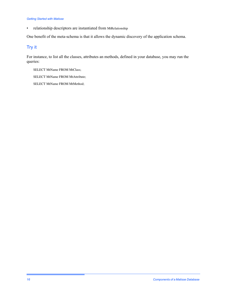• relationship descriptors are instantiated from MtRelationship

One benefit of the meta-schema is that it allows the dynamic discovery of the application schema.

#### Try it

For instance, to list all the classes, attributes an methods, defined in your database, you may run the queries:

SELECT MtName FROM MtClass;

SELECT MtName FROM MtAttribute;

SELECT MtName FROM MtMethod;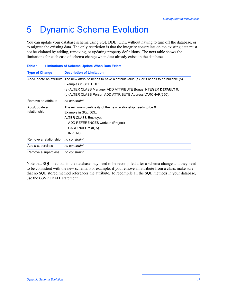## <span id="page-16-0"></span>5 Dynamic Schema Evolution

You can update your database schema using SQL DDL, ODL without having to turn off the database, or to migrate the existing data. The only restriction is that the integrity constraints on the existing data must not be violated by adding, removing, or updating property definitions. The next table shows the limitations for each case of schema change when data already exists in the database.

| <b>Type of Change</b>        | <b>Description of Limitation</b>                                                                                                                                                                                                             |
|------------------------------|----------------------------------------------------------------------------------------------------------------------------------------------------------------------------------------------------------------------------------------------|
| Add/Update an attribute      | The new attribute needs to have a default value (a), or it needs to be nullable (b).<br>Examples in SQL DDL:<br>(a) ALTER CLASS Manager ADD ATTRIBUTE Bonus INTEGER DEFAULT 0;<br>(b) ALTER CLASS Person ADD ATTRIBUTE Address VARCHAR(250); |
| Remove an attribute          | no constraint                                                                                                                                                                                                                                |
| Add/Update a<br>relationship | The minimum cardinality of the new relationship needs to be 0.<br>Example in SQL DDL:<br><b>ALTER CLASS Employee</b><br>ADD REFERENCES worksln (Project)<br>CARDINALITY (0, 5)<br>INVERSE                                                    |
| Remove a relationship        | no constraint                                                                                                                                                                                                                                |
| Add a superclass             | no constraint                                                                                                                                                                                                                                |
| Remove a superclass          | no constraint                                                                                                                                                                                                                                |

#### **Table 1 Limitations of Schema Update When Data Exists**

Note that SQL methods in the database may need to be recompiled after a schema change and they need to be consistent with the new schema. For example, if you remove an attribute from a class, make sure that no SQL stored method references the attribute. To recompile all the SQL methods in your database, use the COMPILE ALL statement.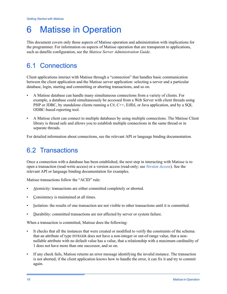## <span id="page-17-0"></span>6 Matisse in Operation

This document covers only those aspects of Matisse operation and administration with implications for the programmer. For information on aspects of Matisse operation that are transparent to applications, such as datafile configuration, see the *Matisse Server Administration Guide*.

### <span id="page-17-1"></span>6.1 Connections

Client applications interact with Matisse through a "connection" that handles basic communication between the client application and the Matisse server application: selecting a server and a particular database, login, starting and committing or aborting transactions, and so on.

- A Matisse database can handle many simultaneous connections from a variety of clients. For example, a database could simultaneously be accessed from a Web Server with client threads using PHP or JDBC, by standalone clients running a  $C#$ ,  $C++$ , Eiffel, or Java application, and by a SQL ODBC-based reporting tool.
- A Matisse client can connect to multiple databases by using multiple connections. The Matisse Client library is thread safe and allows you to establish multiple connections in the same thread or in separate threads.

For detailed information about connections, see the relevant API or language binding documentation.

### <span id="page-17-2"></span>6.2 Transactions

Once a connection with a database has been established, the next step in interacting with Matisse is to open a transaction (read-write access) or a version access (read-only; see *[Version Access](#page-19-0)*). See the relevant API or language binding documentation for examples.

Matisse transactions follow the "ACID" rule:

- Atomicity: transactions are either committed completely or aborted.
- Consistency is maintained at all times.
- Isolation: the results of one transaction are not visible to other transactions until it is committed.
- Durability: committed transactions are not affected by server or system failure.

When a transaction is committed, Matisse does the following:

- It checks that all the instances that were created or modified to verify the constraints of the schema: that an attribute of type INTEGER does not have a non-integer or out-of-range value, that a nonnullable attribute with no default value has a value, that a relationship with a maximum cardinality of 1 does not have more than one successor, and so on.
- If any check fails, Matisse returns an error message identifying the invalid instance. The transaction is not aborted; if the client application knows how to handle the error, it can fix it and try to commit again.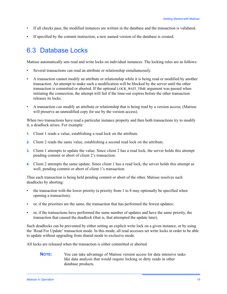- If all checks pass, the modified instances are written in the database and the transaction is validated.
- If specified by the commit instruction, a new named version of the database is created.

#### <span id="page-18-0"></span>6.3 Database Locks

Matisse automatically sets read and write locks on individual instances. The locking rules are as follows:

- Several transactions can read an attribute or relationship simultaneously.
- A transaction cannot modify an attribute or relationship while it is being read or modified by another transaction. An attempt to make such a modification will be blocked by the server until the other transaction is committed or aborted. If the optional LOCK\_WAIT\_TIME argument was passed when initiating the connection, the attempt will fail if the time-out expires before the other transaction releases its locks.
- A transaction *can* modify an attribute or relationship that is being read by a version access; (Matisse will preserve an unmodified copy for use by the version access).

When two transactions have read a particular instance property and then both transactions try to modify it, a deadlock arises. For example:

- **1.** Client 1 reads a value, establishing a read lock on the attribute.
- **2.** Client 2 reads the same value, establishing a second read lock on the attribute.
- **3.** Client 1 attempts to update the value. Since client 2 has a read lock, the server holds this attempt pending commit or abort of client 2's transaction.
- **4.** Client 2 attempts the same update. Since client 1 has a read lock, the server holds this attempt as well, pending commit or abort of client 1's transaction.

Thus each transaction is being held pending commit or abort of the other. Matisse resolves such deadlocks by aborting:

- the transaction with the lower priority (a priority from 1 to 8 may optionally be specified when opening a transaction);
- or, if the priorities are the same, the transaction that has performed the fewest updates;
- or, if the transactions have performed the same number of updates and have the same priority, the transaction that caused the deadlock (that is, that attempted the update later).

Such deadlocks can be prevented by either setting an explicit write lock on a given instance, or by using the 'Read For Update' transaction mode. In this mode, all read accesses set write locks in order to be able to update without upgrading from shared mode to exclusive mode.

All locks are released when the transaction is either committed or aborted.

**NOTE:** You can take advantage of Matisse version access for data intensive tasks like data analysis that would require locking or dirty reads in other database products.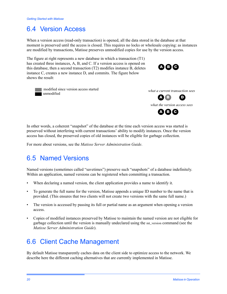### <span id="page-19-0"></span>6.4 Version Access

When a version access (read-only transaction) is opened, all the data stored in the database at that moment is preserved until the access is closed. This requires no locks or wholesale copying: as instances are modified by transactions, Matisse preserves unmodified copies for use by the version access.

The figure at right represents a new database in which a transaction (T1) has created three instances, A, B, and C. If a version access is opened on this database, then a second transaction (T2) modifies instance B, deletes instance C, creates a new instance D, and commits. The figure below shows the result:





unmodified modified since version access started *what a current transaction sees* 



In other words, a coherent "snapshot" of the database at the time each version access was started is preserved without interfering with current transactions' ability to modify instances. Once the version access has closed, the preserved copies of old instances will be eligible for garbage collection.

For more about versions, see the *Matisse Server Administration Guide*.

### <span id="page-19-1"></span>6.5 Named Versions

Named versions (sometimes called "savetimes") preserve such "snapshots" of a database indefinitely. Within an application, named versions can be registered when committing a transaction.

- When declaring a named version, the client application provides a name to identify it.
- To generate the full name for the version, Matisse appends a unique ID number to the name that is provided. (This ensures that two clients will not create two versions with the same full name.)
- The version is accessed by passing its full or partial name as an argument when opening a version access.
- Copies of modified instances preserved by Matisse to maintain the named version are not eligible for garbage collection until the version is manually undeclared using the mt\_version command (see the *Matisse Server Administration Guide*).

### <span id="page-19-2"></span>6.6 Client Cache Management

By default Matisse transparently caches data on the client side to optimize access to the network. We describe here the different caching alternatives that are currently implemented in Matisse.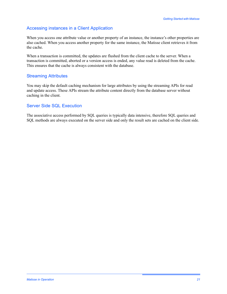#### Accessing instances in a Client Application

When you access one attribute value or another property of an instance, the instance's other properties are also cached. When you access another property for the same instance, the Matisse client retrieves it from the cache.

When a transaction is committed, the updates are flushed from the client cache to the server. When a transaction is committed, aborted or a version access is ended, any value read is deleted from the cache. This ensures that the cache is always consistent with the database.

#### Streaming Attributes

You may skip the default caching mechanism for large attributes by using the streaming APIs for read and update access. These APIs stream the attribute content directly from the database server without caching in the client.

#### Server Side SQL Execution

The associative access performed by SQL queries is typically data intensive, therefore SQL queries and SQL methods are always executed on the server side and only the result sets are cached on the client side.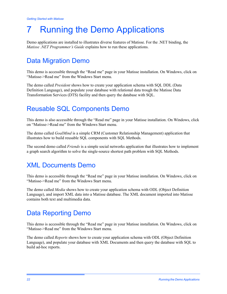## <span id="page-21-0"></span>7 Running the Demo Applications

Demo applications are installed to illustrates diverse features of Matisse. For the .NET binding, the *Matisse .NET Programmer's Guide* explains how to run these applications.

### <span id="page-21-1"></span>Data Migration Demo

This demo is accessible through the "Read me" page in your Matisse installation. On Windows, click on "Matisse->Read me" from the Windows Start menu.

The demo called *President* shows how to create your application schema with SQL DDL (Data Definition Language), and populate your database with relational data trough the Matisse Data Transformation Services (DTS) facility and then query the database with SQL.

### <span id="page-21-2"></span>Reusable SQL Components Demo

This demo is also accessible through the "Read me" page in your Matisse installation. On Windows, click on "Matisse->Read me" from the Windows Start menu.

The demo called *GoalMind* is a simple CRM (Customer Relationship Management) application that illustrates how to build reusable SQL components with SQL Methods.

The second demo called *Friends* is a simple social networks application that illustrates how to implement a graph search algorithm to solve the single-source shortest path problem with SQL Methods.

### <span id="page-21-3"></span>XML Documents Demo

This demo is accessible through the "Read me" page in your Matisse installation. On Windows, click on "Matisse->Read me" from the Windows Start menu.

The demo called *Media* shows how to create your application schema with ODL (Object Definition Language), and import XML data into a Matisse database. The XML document imported into Matisse contains both text and multimedia data.

### <span id="page-21-4"></span>Data Reporting Demo

This demo is accessible through the "Read me" page in your Matisse installation. On Windows, click on "Matisse->Read me" from the Windows Start menu.

The demo called *Reports* shows how to create your application schema with ODL (Object Definition Language), and populate your database with XML Documents and then query the database with SQL to build ad-hoc reports.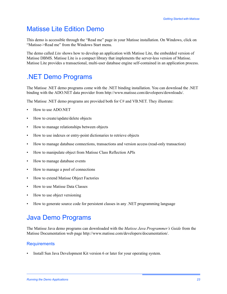### <span id="page-22-0"></span>Matisse Lite Edition Demo

This demo is accessible through the "Read me" page in your Matisse installation. On Windows, click on "Matisse->Read me" from the Windows Start menu.

The demo called *Lite* shows how to develop an application with Matisse Lite, the embedded version of Matisse DBMS. Matisse Lite is a compact library that implements the server-less version of Matisse. Matisse Lite provides a transactional, multi-user database engine self-contained in an application process.

### <span id="page-22-1"></span>.NET Demo Programs

The Matisse .NET demo programs come with the .NET binding installation. You can download the .NET binding with the ADO.NET data provider from http://www.matisse.com/developers/downloads/.

The Matisse .NET demo programs are provided both for C# and VB.NET. They illustrate:

- How to use ADO.NET
- How to create/update/delete objects
- How to manage relationships between objects
- How to use indexes or entry-point dictionaries to retrieve objects
- How to manage database connections, transactions and version access (read-only transaction)
- How to manipulate object from Matisse Class Reflection APIs
- How to manage database events
- How to manage a pool of connections
- How to extend Matisse Object Factories
- How to use Matisse Data Classes
- How to use object versioning
- How to generate source code for persistent classes in any .NET programming language

#### <span id="page-22-2"></span>Java Demo Programs

The Matisse Java demo programs can downloaded with the *Matisse Java Programmer's Guide* from the Matisse Documentation web page http://www.matisse.com/developers/documentation/.

#### **Requirements**

• Install Sun Java Development Kit version 6 or later for your operating system.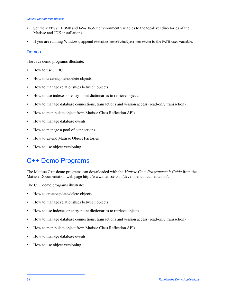#### *Getting Started with Matisse*

- Set the MATISSE\_HOME and JAVA\_HOME environment variables to the top-level directories of the Matisse and JDK installations.
- If you are running Windows, append ; %matisse\_home%\bin; %java\_home%\bin to the PATH user variable.

#### **Demos**

The Java demo programs illustrate:

- How to use JDBC
- How to create/update/delete objects
- How to manage relationships between objects
- How to use indexes or entry-point dictionaries to retrieve objects
- How to manage database connections, transactions and version access (read-only transaction)
- How to manipulate object from Matisse Class Reflection APIs
- How to manage database events
- How to manage a pool of connections
- How to extend Matisse Object Factories
- How to use object versioning

### <span id="page-23-0"></span>C++ Demo Programs

The Matisse C++ demo programs can downloaded with the *Matisse C++ Programmer's Guide* from the Matisse Documentation web page http://www.matisse.com/developers/documentation/.

The C++ demo programs illustrate:

- How to create/update/delete objects
- How to manage relationships between objects
- How to use indexes or entry-point dictionaries to retrieve objects
- How to manage database connections, transactions and version access (read-only transaction)
- How to manipulate object from Matisse Class Reflection APIs
- How to manage database events
- How to use object versioning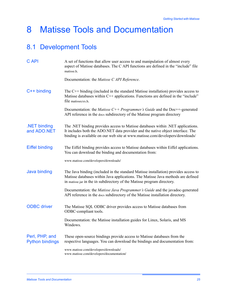## <span id="page-24-0"></span>8 Matisse Tools and Documentation

### <span id="page-24-1"></span>8.1 Development Tools

| C API                                    | A set of functions that allow user access to and manipulation of almost every<br>aspect of Matisse databases. The C API functions are defined in the "include" file<br>matisse.h.                                                                   |
|------------------------------------------|-----------------------------------------------------------------------------------------------------------------------------------------------------------------------------------------------------------------------------------------------------|
|                                          | Documentation: the <i>Matisse C API Reference</i> .                                                                                                                                                                                                 |
| $C++$ binding                            | The C++ binding (included in the standard Matisse installation) provides access to<br>Matisse databases within C++ applications. Functions are defined in the "include"<br>file matissecxx.h.                                                       |
|                                          | Documentation: the <i>Matisse C++ Programmer's Guide</i> and the Doc++-generated<br>API reference in the docs subdirectory of the Matisse program directory                                                                                         |
| .NET binding<br>and ADO.NET              | The .NET binding provides access to Matisse databases within .NET applications.<br>It includes both the ADO.NET data provider and the native object interface. The<br>binding is available on our web site at www.matisse.com/developers/downloads/ |
| <b>Eiffel binding</b>                    | The Eiffel binding provides access to Matisse databases within Eiffel applications.<br>You can download the binding and documentation from:                                                                                                         |
|                                          | www.matisse.com/developers/downloads/                                                                                                                                                                                                               |
| Java binding                             | The Java binding (included in the standard Matisse installation) provides access to<br>Matisse databases within Java applications. The Matisse Java methods are defined<br>in matisse.jar in the lib subdirectory of the Matisse program directory. |
|                                          | Documentation: the Matisse Java Programmer's Guide and the javadoc-generated<br>API reference in the docs subdirectory of the Matisse installation directory.                                                                                       |
| <b>ODBC</b> driver                       | The Matisse SQL ODBC driver provides access to Matisse databases from<br>ODBC-compliant tools.                                                                                                                                                      |
|                                          | Documentation: the Matisse installation guides for Linux, Solaris, and MS<br>Windows.                                                                                                                                                               |
| Perl, PHP, and<br><b>Python bindings</b> | These open-source bindings provide access to Matisse databases from the<br>respective languages. You can download the bindings and documentation from:                                                                                              |
|                                          | www.matisse.com/developers/downloads/<br>www.matisse.com/developers/documentation/                                                                                                                                                                  |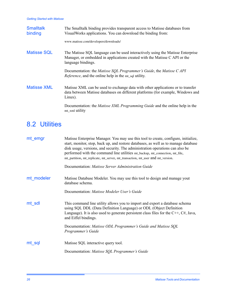| <b>Smalltalk</b><br>binding | The Smalltalk binding provides transparent access to Matisse databases from<br>Visual Works applications. You can download the binding from:                                        |
|-----------------------------|-------------------------------------------------------------------------------------------------------------------------------------------------------------------------------------|
|                             | www.matisse.com/developers/downloads/                                                                                                                                               |
| <b>Matisse SQL</b>          | The Matisse SQL language can be used interactively using the Matisse Enterprise<br>Manager, or embedded in applications created with the Matisse C API or the<br>language bindings. |
|                             | Documentation: the Matisse SQL Programmer's Guide, the Matisse C API<br><i>Reference</i> , and the online help in the mt_sql utility.                                               |
| <b>Matisse XML</b>          | Matisse XML can be used to exchange data with other applications or to transfer<br>data between Matisse databases on different platforms (for example, Windows and<br>$Linux)$ .    |
|                             | Documentation: the <i>Matisse XML Programming Guide</i> and the online help in the<br>mt_xml utility                                                                                |

### <span id="page-25-0"></span>8.2 Utilities

| mt emgr    | Matisse Enterprise Manager. You may use this tool to create, configure, initialize,<br>start, monitor, stop, back up, and restore databases, as well as to manage database<br>disk usage, versions, and security. The administration operations can also be<br>performed with the command line utilities mt_backup, mt_connection, mt_file,<br>mt_partition, mt_replicate, mt_server, mt_transaction, mt_user and mt_version. |
|------------|-------------------------------------------------------------------------------------------------------------------------------------------------------------------------------------------------------------------------------------------------------------------------------------------------------------------------------------------------------------------------------------------------------------------------------|
|            | Documentation: Matisse Server Administration Guide                                                                                                                                                                                                                                                                                                                                                                            |
| mt modeler | Matisse Database Modeler. You may use this tool to design and manage yout<br>database schema.                                                                                                                                                                                                                                                                                                                                 |
|            | Documentation: Matisse Modeler User's Guide                                                                                                                                                                                                                                                                                                                                                                                   |
| mt sdl     | This command line utility allows you to import and export a database schema<br>using SQL DDL (Data Definition Language) or ODL (Object Definition<br>Language). It is also used to generate persistent class files for the $C++$ , $C\#$ , Java,<br>and Eiffel bindings.                                                                                                                                                      |
|            | Documentation: Matisse ODL Programmer's Guide and Matisse SQL<br>Programmer's Guide                                                                                                                                                                                                                                                                                                                                           |
| mt sql     | Matisse SQL interactive query tool.                                                                                                                                                                                                                                                                                                                                                                                           |
|            | Documentation: Matisse SQL Programmer's Guide                                                                                                                                                                                                                                                                                                                                                                                 |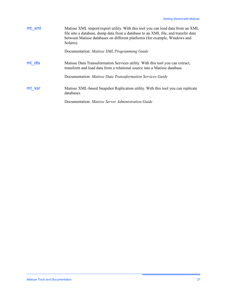| mt xml | Matisse XML import/export utility. With this tool you can load data from an XML<br>file into a database, dump data from a database to an XML file, and transfer data<br>between Matisse databases on different platforms (for example, Windows and<br>Solaris). |
|--------|-----------------------------------------------------------------------------------------------------------------------------------------------------------------------------------------------------------------------------------------------------------------|
|        | Documentation: Matisse XML Programming Guide                                                                                                                                                                                                                    |
| mt dts | Matisse Data Transaformation Services utility. With this tool you can extract,<br>transform and load data from a relational source into a Matisse database.                                                                                                     |
|        | Documentation: Matisse Data Transaformation Services Guide                                                                                                                                                                                                      |
| mt xsr | Matisse XML-based Snapshot Replication utility. With this tool you can replicate<br>databases.                                                                                                                                                                  |
|        | Documentation: Matisse Server Administration Guide                                                                                                                                                                                                              |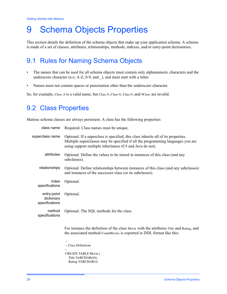## <span id="page-27-0"></span>9 Schema Objects Properties

This section details the definition of the schema objects that make up your application schema. A schema is made of a set of classes, attributes, relationships, methods, indexes, and/or entry-point dictionaries.

### <span id="page-27-1"></span>9.1 Rules for Naming Schema Objects

- The names that can be used for all schema objects must contain only alphanumeric characters and the underscore character (a-z, A-Z, 0-9, and ), and must start with a letter.
- Names must not contain spaces or punctuation other than the underscore character.

So, for example, Class\_9 is a valid name, but Class 9, Class-9, Class.9, and 9Class are invalid.

### <span id="page-27-2"></span>9.2 Class Properties

Matisse schema classes are always persistent. A class has the following properties:

| class name                                  | Required. Class names must be unique.                                                                                                                                                                                             |
|---------------------------------------------|-----------------------------------------------------------------------------------------------------------------------------------------------------------------------------------------------------------------------------------|
| superclass name                             | Optional. If a superclass is specified, this class inherits all of its properties.<br>Multiple superclasses may be specified if all the programming languages you are<br>using support multiple inheritance (C# and Java do not). |
| attributes                                  | Optional. Define the values to be stored in instances of this class (and any<br>subclasses).                                                                                                                                      |
| relationships                               | Optional. Define relationships between instances of this class (and any subclasses)<br>and instances of the successor class (or its subclasses).                                                                                  |
| index<br>specifications                     | Optional.                                                                                                                                                                                                                         |
| entry-point<br>dictionary<br>specifications | Optional.                                                                                                                                                                                                                         |
| method<br>specifications                    | Optional. The SQL methods for the class.                                                                                                                                                                                          |
|                                             | For instance the definition of the class Movie with the attributes Title and Rating, and<br>the associated method CountMovies is exported in DDL format like this:                                                                |
|                                             | -- Class Definitions                                                                                                                                                                                                              |

-- CREATE TABLE Movie ( Title VARCHAR(64), Rating VARCHAR(4)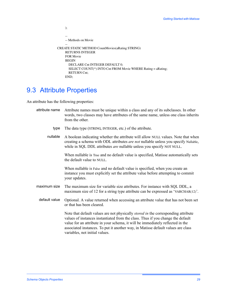```
);
    --
    -- Methods on Movie 
    --
CREATE STATIC METHOD CountMovies(aRating STRING)
    RETURNS INTEGER
    FOR Movie
    BEGIN
      DECLARE Cnt INTEGER DEFAULT 0;
      SELECT COUNT(*) INTO Cnt FROM Movie WHERE Rating = aRating;
      RETURN Cnt;
    END;
```
#### <span id="page-28-0"></span>9.3 Attribute Properties

An attribute has the following properties:

<span id="page-28-1"></span>attribute name Attribute names must be unique within a class and any of its subclasses. In other words, two classes may have attributes of the same name, unless one class inherits from the other. type The data type (STRING, INTEGER, etc.) of the attribute. nullable A boolean indicating whether the attribute will allow NULL values. Note that when creating a schema with ODL attributes *are not* nullable unless you specify Nullable, while in SQL DDL attributes *are* nullable unless you specify NOT NULL. When nullable is True and no default value is specified, Matisse automatically sets the default value to NULL. When nullable is False and no default value is specified, when you create an instance you must explicitly set the attribute value before attempting to commit your updates. maximum size The maximum size for variable size attributes. For instance with SQL DDL, a maximum size of 12 for a string type attribute can be expressed as 'VARCHAR(12)'. default value Optional. A value returned when accessing an attribute value that has not been set or that has been cleared. Note that default values are not physically *stored in* the corresponding attribute values of instances instantiated from the class. Thus if you change the default value for an attribute in your schema, it will be immediately reflected in the associated instances. To put it another way, in Matisse default values are class variables, not initial values.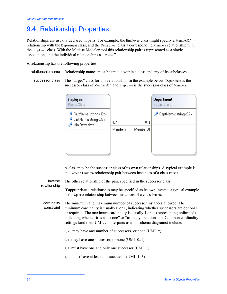### <span id="page-29-0"></span>9.4 Relationship Properties

Relationships are usually declared in pairs. For example, the Employee class might specify a MemberOf relationship with the Department class, and the Department class a corresponding Members relationship with the Employee class. With the Matisse Modeler tool this relationship pair is represented as a single association, and the individual relationships as "roles."

A relationship has the following properties:

- relationship name Relationship names must be unique within a class and any of its subclasses.
	- successor class The "target" class for this relationship. In the example below, Department is the successor class of MembersOf, and Employee is the successor class of Members.

| <b>Employee</b><br><b>Public Class</b>          |                |          | <b>Department</b><br><b>Public Class</b> |
|-------------------------------------------------|----------------|----------|------------------------------------------|
| ● FirstName: string<32><br>LastName: string<32> | $0.7*$         | 01       | O DeptName: string<32>                   |
| HireDate: date                                  | <b>Members</b> | MemberOf |                                          |
|                                                 |                |          |                                          |

A class may be the successor class of its own relationships. A typical example is the Father / Children relationship pair between instances of a class Person.

| inverse<br>relationship   | The other relationship of the pair, specified in the successor class.                                                                                                                                                                                                                                                                                                                                       |
|---------------------------|-------------------------------------------------------------------------------------------------------------------------------------------------------------------------------------------------------------------------------------------------------------------------------------------------------------------------------------------------------------------------------------------------------------|
|                           | If appropriate a relationship may be specified as its own inverse, a typical example<br>is the Spouse relationship between instances of a class Person.                                                                                                                                                                                                                                                     |
| cardinality<br>constraint | The minimum and maximum number of successor instances allowed. The<br>minimum cardinality is usually 0 or 1, indicating whether successors are optional<br>or required. The maximum cardinality is usually 1 or -1 (representing unlimited),<br>indicating whether it is a "to-one" or "to-many" relationship. Common cardinality<br>settings (and their UML counterparts used in schema diagrams) include: |
|                           | 0, -1: may have any number of successors, or none (UML $*)$ )                                                                                                                                                                                                                                                                                                                                               |
|                           | 0, 1: may have one successor, or none (UML $0.1$ )                                                                                                                                                                                                                                                                                                                                                          |
|                           | 1, 1: must have one and only one successor (UML 1)                                                                                                                                                                                                                                                                                                                                                          |
|                           | 1, -1: must have at least one successor (UML 1*)                                                                                                                                                                                                                                                                                                                                                            |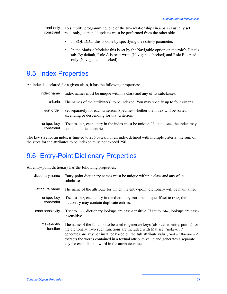read-only constraint To simplify programming, one of the two relationships in a pair is usually set read-only, so that all updates must be performed from the other side.

- In SQL DDL, this is done by specifying the readonly parameter.
- In the Matisse Modeler this is set by the Navigable option on the role's Details tab. By default, Role A is read-write (Navigable checked) and Role B is readonly (Navigable unchecked).

#### <span id="page-30-0"></span>9.5 Index Properties

An index is declared for a given class, it has the following properties:

| index name               | Index names must be unique within a class and any of its subclasses.                                                         |
|--------------------------|------------------------------------------------------------------------------------------------------------------------------|
| criteria                 | The names of the attribute(s) to be indexed. You may specify up to four criteria.                                            |
| sort order               | Set separately for each criterion. Specifies whether the index will be sorted<br>ascending or descending for that criterion. |
| unique key<br>constraint | If set to True, each entry in the index must be unique. If set to False, the index may<br>contain duplicate entries.         |

The key size for an index is limited to 256 bytes. For an index defined with multiple criteria, the sum of the sizes for the attributes to be indexed must not exceed 256.

#### <span id="page-30-1"></span>9.6 Entry-Point Dictionary Properties

An entry-point dictionary has the following properties:

| dictionary name          | Entry-point dictionary names must be unique within a class and any of its<br>subclasses.                                                                                                                                                                                                                                                                                                                  |
|--------------------------|-----------------------------------------------------------------------------------------------------------------------------------------------------------------------------------------------------------------------------------------------------------------------------------------------------------------------------------------------------------------------------------------------------------|
| attribute name           | The name of the attribute for which the entry-point dictionary will be maintained.                                                                                                                                                                                                                                                                                                                        |
| unique key<br>constraint | If set to True, each entry in the dictionary must be unique. If set to False, the<br>dictionary may contain duplicate entries.                                                                                                                                                                                                                                                                            |
| case sensitivity         | If set to True, dictionary lookups are case-sensitive. If set to False, lookups are case-<br>insensitive.                                                                                                                                                                                                                                                                                                 |
| make-entry<br>function   | The name of the function to be used to generate keys (also called entry-points) for<br>the dictionary. Two such functions are included with Matisse: "make-entry"<br>generates one key per instance based on the full attribute value, "make-full-text-entry"<br>extracts the words contained in a textual attribute value and generates a separate<br>key for each distinct word in the attribute value. |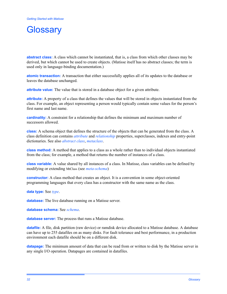## <span id="page-31-0"></span>**Glossary**

<span id="page-31-1"></span>**abstract class:** A class which cannot be instantiated, that is, a class from which other classes may be derived, but which cannot be used to create objects. (Matisse itself has no abstract classes; the term is used only in language-binding documentation.)

**atomic transaction:** A transaction that either successfully applies all of its updates to the database or leaves the database unchanged.

<span id="page-31-3"></span>**attribute value:** The value that is stored in a database object for a given attribute.

<span id="page-31-2"></span>**attribute:** A property of a class that defines the values that will be stored in objects instantiated from the class. For example, an object representing a person would typically contain some values for the person's first name and last name.

**cardinality:** A constraint for a relationship that defines the minimum and maximum number of successors allowed.

**class:** A schema object that defines the structure of the objects that can be generated from the class. A class definition can contains *[attribute](#page-31-2)* and *[relationship](#page-33-1)* properties, superclasses, indexes and entry-point dictionaries. See also *[abstract class](#page-31-1)*, *[metaclass](#page-33-0)*.

**class method:** A method that applies to a class as a whole rather than to individual objects instantiated from the class; for example, a method that returns the number of instances of a class.

<span id="page-31-4"></span>**class variable:** A value shared by all instances of a class. In Matisse, class variables can be defined by modifying or extending MtClass (see *[meta-schema](#page-33-2)*)

**constructor:** A class method that creates an object. It is a convention in some object-oriented programming languages that every class has a constructor with the same name as the class.

**data type:** See *[type](#page-34-0)*.

**database:** The live database running on a Matisse server.

**database schema:** See *[schema](#page-34-1)*.

**database server:** The process that runs a Matisse database.

**datafile:** A file, disk partition (raw device) or ramdisk device allocated to a Matisse database. A database can have up to 255 datafiles on as many disks. For fault tolerance and best performance, in a production environment each datafile should be on a different disk.

**datapage:** The minimum amount of data that can be read from or written to disk by the Matisse server in any single I/O operation. Datapages are contained in datafiles.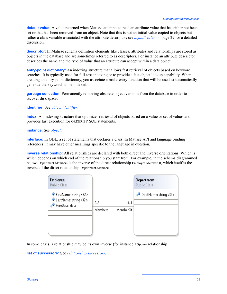<span id="page-32-0"></span>**default value:** A value returned when Matisse attempts to read an attribute value that has either not been set or that has been removed from an object. Note that this is not an initial value copied to objects but rather a class variable associated with the attribute descriptor; see *[default value](#page-28-1)* on page 29 for a detailed discussion.

**descriptor:** In Matisse schema definition elements like classes, attributes and relationships are stored as objects in the database and are sometimes referred to as descriptors. For instance an attribute descriptor describes the name and the type of value that an attribute can accept within a data object.

<span id="page-32-2"></span>**entry-point dictionary:** An indexing structure that allows fast retrieval of objects based on keyword searches. It is typically used for full-text indexing or to provide a fast object lookup capability. When creating an entry-point dictionary, you associate a make-entry function that will be used to automatically generate the keywords to be indexed.

<span id="page-32-3"></span>**garbage collection:** Permanently removing obsolete object versions from the database in order to recover disk space.

#### **identifier:** See *[object identifier](#page-33-3)*.

**index:** An indexing structure that optimizes retrieval of objects based on a value or set of values and provides fast execution for ORDER BY SQL statements.

**instance:** See *[object](#page-33-4)*.

**interface:** In ODL, a set of statements that declares a class. In Matisse API and language binding references, it may have other meanings specific to the language in question.

<span id="page-32-1"></span>**inverse relationship:** All relationships are declared with both direct and inverse orientations. Which is which depends on which end of the relationship you start from. For example, in the schema diagrammed below, Department.Members is the inverse of the direct relationship Employee.MemberOf, which itself is the inverse of the direct relationship Department.Members.



In some cases, a relationship may be its own inverse (for instance a Spouse relationship).

**list of successors:** See *[relationship successors](#page-34-2)*.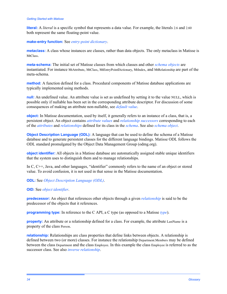#### *Getting Started with Matisse*

**literal:** A *literal* is a specific symbol that represents a data value. For example, the literals 2.6 and 2.60 both represent the same floating-point value.

**make-entry function:** See *[entry-point dictionary](#page-32-2)*.

<span id="page-33-0"></span>**metaclass:** A class whose instances are classes, rather than data objects. The only metaclass in Matisse is MtClass.

<span id="page-33-2"></span>**meta-schema:** The initial set of Matisse classes from which classes and other *[schema object](#page-34-3)s* are instantiated. For instance MtAttribute, MtClass, MtEntryPointDictionary, MtIndex, and MtRelationship are part of the meta-schema.

**method:** A function defined for a class. Procedural components of Matisse database applications are typically implemented using methods.

**null:** An undefined value. An attribute value is set as undefined by setting it to the value NULL, which is possible only if nullable has been set in the corresponding attribute descriptor. For discussion of some consequences of making an attribute non-nullable, see *[default value](#page-32-0)*.

<span id="page-33-4"></span>**object:** In Matisse documentation, used by itself, it generally refers to an instance of a class, that is, a persistent object. An object contains *[attribute values](#page-31-3)* and *[relationship successors](#page-34-2)* corresponding to each of the *[attributes](#page-31-2)* and *[relationship](#page-33-1)s* defined for its class in the *[schema](#page-34-1)*. See also *[schema object](#page-34-3)*.

<span id="page-33-5"></span>**Object Description Language (ODL):** A language that can be used to define the schema of a Matisse database and to generate persistent classes for the different language bindings. Matisse ODL follows the ODL standard promulgated by the Object Data Management Group (odmg.org).

<span id="page-33-3"></span>**object identifier:** All objects in a Matisse database are automatically assigned stable unique identifiers that the system uses to distinguish them and to manage relationships.

In C, C++, Java, and other languages, "identifier" commonly refers to the name of an object or stored value. To avoid confusion, it is not used in that sense in the Matisse documentation.

**ODL:** See *[Object Description Language \(ODL\)](#page-33-5)*.

**OID:** See *[object identifier](#page-33-3)*.

**predecessor:** An object that references other objects through a given *[relationship](#page-33-1)* is said to be the predecessor of the objects that it references.

**programming type:** In reference to the C API, a C type (as opposed to a Matisse *[type](#page-34-0)*).

**property:** An attribute or a relationship defined for a class. For example, the attribute LastName is a property of the class Person.

<span id="page-33-1"></span>**relationship:** Relationships are class properties that define links between objects. A relationship is defined between two (or more) classes. For instance the relationship Department.Members may be defined between the class Department and the class Employee. In this example the class Employee is referred to as the successor class. See also *[inverse relationship](#page-32-1)*.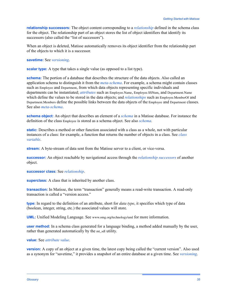<span id="page-34-2"></span>**relationship successors:** The object content corresponding to a *[relationship](#page-33-1)* defined in the schema class for the object. The relationship part of an object stores the list of object identifiers that identify its successors (also called the "list of successors").

When an object is deleted, Matisse automatically removes its object identifier from the relationship part of the objects to which it is a successor.

**savetime:** See *[versioning](#page-35-0)*.

**scalar type:** A type that takes a single value (as opposed to a list type).

<span id="page-34-1"></span>**schema:** The portion of a database that describes the structure of the data objects. Also called an application schema to distinguish it from the *[meta-schema](#page-33-2)*. For example, a schema might contain classes such as Employee and Department, from which data objects representing specific individuals and departments can be instantiated; *[attributes](#page-31-2)* such as Employee.Name, Employee.SSNum, and Department.Name which define the values to be stored in the data objects; and *[relationships](#page-33-1)* such as Employee.MemberOf and Department.Members define the possible links between the data objects of the Employee and Department classes. See also *[meta-schema](#page-33-2)*.

<span id="page-34-3"></span>**schema object:** An object that describes an element of a *[schema](#page-34-1)* in a Matisse database. For instance the definition of the class Employee is stored as a schema object. See also *[schema](#page-34-1)*.

**static:** Describes a method or other function associated with a class as a whole, not with particular instances of a class: for example, a function that returns the number of objects in a class. See *[class](#page-31-4)  [variable](#page-31-4)*.

**stream:** A byte-stream of data sent from the Matisse server to a client, or vice-versa.

**successor:** An object reachable by navigational access through the *[relationship successors](#page-34-2)* of another object.

**successor class:** See *[relationship](#page-33-1)*.

**superclass:** A class that is inherited by another class.

**transaction:** In Matisse, the term "transaction" generally means a read-write transaction. A read-only transaction is called a "version access."

<span id="page-34-0"></span>**type:** In regard to the definition of an attribute, short for *data type*, it specifies which type of data (boolean, integer, string, etc.) the associated values will store.

**UML:** Unified Modeling Language. See www.omg.org/technology/uml for more information.

**user method:** In a schema class generated for a language binding, a method added manually by the user, rather than generated automatically by the mt\_sdl utility.

**value:** See *[attribute value](#page-31-3)*.

**version:** A copy of an object at a given time, the latest copy being called the "current version". Also used as a synonym for "savetime," it provides a snapshot of an entire database at a given time. See *[versioning](#page-35-0)*.